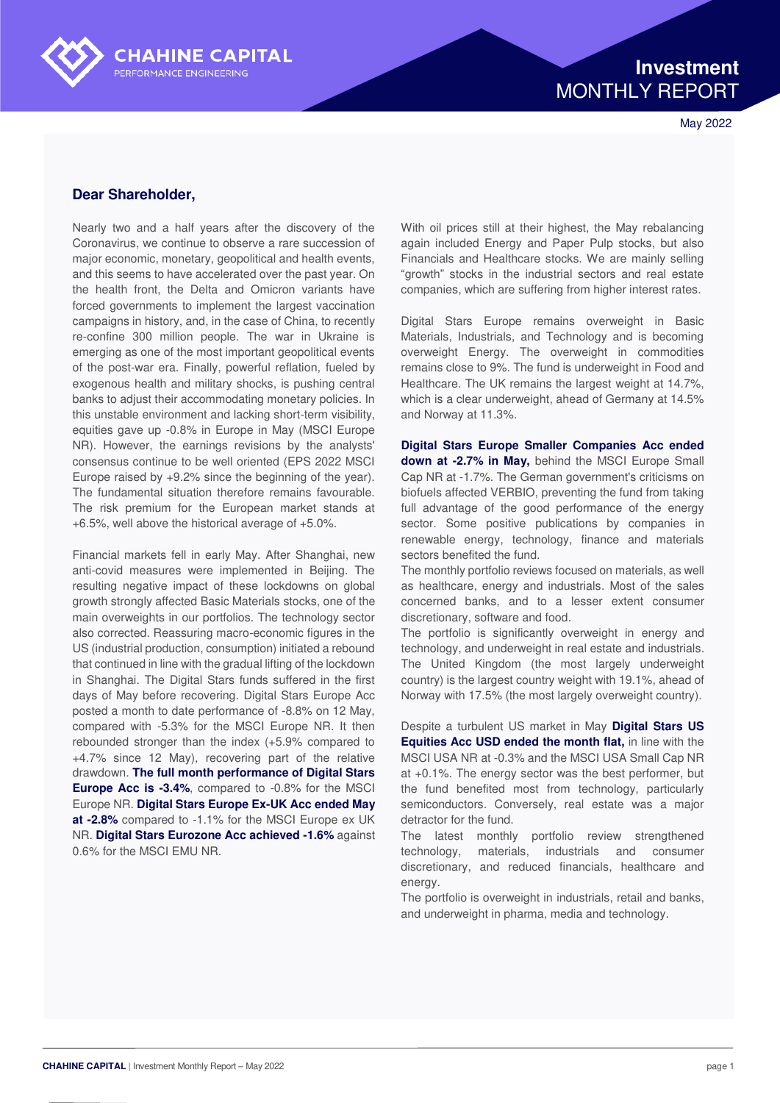

May 2022

## **Dear Shareholder,**

Nearly two and a half years after the discovery of the Coronavirus, we continue to observe a rare succession of major economic, monetary, geopolitical and health events, and this seems to have accelerated over the past year. On the health front, the Delta and Omicron variants have forced governments to implement the largest vaccination campaigns in history, and, in the case of China, to recently re-confine 300 million people. The war in Ukraine is emerging as one of the most important geopolitical events of the post-war era. Finally, powerful reflation, fueled by exogenous health and military shocks, is pushing central banks to adjust their accommodating monetary policies. In this unstable environment and lacking short-term visibility, equities gave up -0.8% in Europe in May (MSCI Europe NR). However, the earnings revisions by the analysts' consensus continue to be well oriented (EPS 2022 MSCI Europe raised by +9.2% since the beginning of the year). The fundamental situation therefore remains favourable. The risk premium for the European market stands at +6.5%, well above the historical average of +5.0%.

**CHAHINE CAPITAL** 

PERFORMANCE ENGINEERING

Financial markets fell in early May. After Shanghai, new anti-covid measures were implemented in Beijing. The resulting negative impact of these lockdowns on global growth strongly affected Basic Materials stocks, one of the main overweights in our portfolios. The technology sector also corrected. Reassuring macro-economic figures in the US (industrial production, consumption) initiated a rebound that continued in line with the gradual lifting of the lockdown in Shanghai. The Digital Stars funds suffered in the first days of May before recovering. Digital Stars Europe Acc posted a month to date performance of -8.8% on 12 May, compared with -5.3% for the MSCI Europe NR. It then rebounded stronger than the index (+5.9% compared to +4.7% since 12 May), recovering part of the relative drawdown. **The full month performance of Digital Stars Europe Acc is -3.4%**, compared to -0.8% for the MSCI Europe NR. **Digital Stars Europe Ex-UK Acc ended May at -2.8%** compared to -1.1% for the MSCI Europe ex UK NR. **Digital Stars Eurozone Acc achieved -1.6%** against 0.6% for the MSCI EMU NR.

With oil prices still at their highest, the May rebalancing again included Energy and Paper Pulp stocks, but also Financials and Healthcare stocks. We are mainly selling "growth" stocks in the industrial sectors and real estate companies, which are suffering from higher interest rates.

Digital Stars Europe remains overweight in Basic Materials, Industrials, and Technology and is becoming overweight Energy. The overweight in commodities remains close to 9%. The fund is underweight in Food and Healthcare. The UK remains the largest weight at 14.7%, which is a clear underweight, ahead of Germany at 14.5% and Norway at 11.3%.

**Digital Stars Europe Smaller Companies Acc ended down at -2.7% in May,** behind the MSCI Europe Small Cap NR at -1.7%. The German government's criticisms on biofuels affected VERBIO, preventing the fund from taking full advantage of the good performance of the energy sector. Some positive publications by companies in renewable energy, technology, finance and materials sectors benefited the fund.

The monthly portfolio reviews focused on materials, as well as healthcare, energy and industrials. Most of the sales concerned banks, and to a lesser extent consumer discretionary, software and food.

The portfolio is significantly overweight in energy and technology, and underweight in real estate and industrials. The United Kingdom (the most largely underweight country) is the largest country weight with 19.1%, ahead of Norway with 17.5% (the most largely overweight country).

Despite a turbulent US market in May **Digital Stars US Equities Acc USD ended the month flat,** in line with the MSCI USA NR at -0.3% and the MSCI USA Small Cap NR at +0.1%. The energy sector was the best performer, but the fund benefited most from technology, particularly semiconductors. Conversely, real estate was a major detractor for the fund.

The latest monthly portfolio review strengthened technology, materials, industrials and consumer discretionary, and reduced financials, healthcare and energy.

The portfolio is overweight in industrials, retail and banks, and underweight in pharma, media and technology.